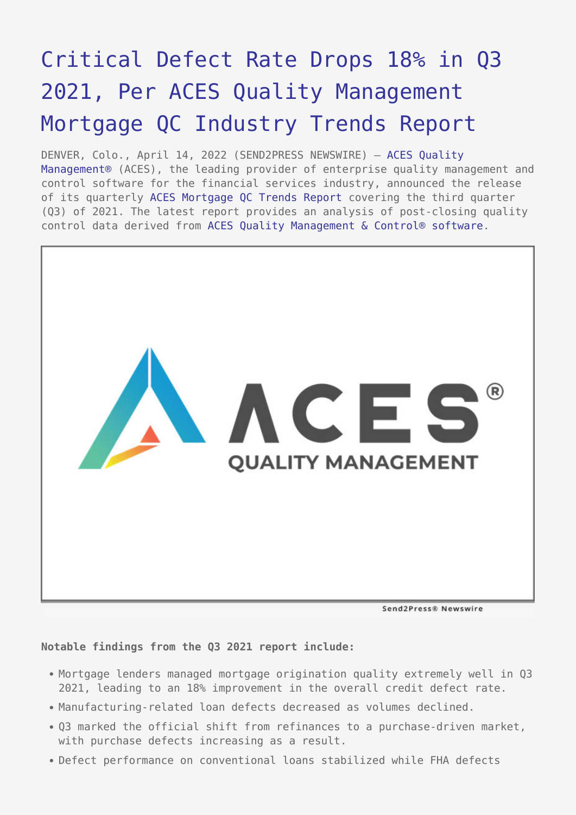## [Critical Defect Rate Drops 18% in Q3](https://www.send2press.com/wire/critical-defect-rate-drops-18-in-q3-2021-per-aces-quality-management-mortgage-qc-industry-trends-report/) [2021, Per ACES Quality Management](https://www.send2press.com/wire/critical-defect-rate-drops-18-in-q3-2021-per-aces-quality-management-mortgage-qc-industry-trends-report/) [Mortgage QC Industry Trends Report](https://www.send2press.com/wire/critical-defect-rate-drops-18-in-q3-2021-per-aces-quality-management-mortgage-qc-industry-trends-report/)

DENVER, Colo., April 14, 2022 (SEND2PRESS NEWSWIRE) — [ACES Quality](https://www.acesquality.com/) [Management®](https://www.acesquality.com/) (ACES), the leading provider of enterprise quality management and control software for the financial services industry, announced the release of its quarterly [ACES Mortgage QC Trends Report](https://www.acesquality.com/resources/reports) covering the third quarter (Q3) of 2021. The latest report provides an analysis of post-closing quality control data derived from [ACES Quality Management & Control® software](https://www.acesquality.com/products/aces-quality-management-control).



Send2Press® Newswire

**Notable findings from the Q3 2021 report include:**

- Mortgage lenders managed mortgage origination quality extremely well in Q3 2021, leading to an 18% improvement in the overall credit defect rate.
- Manufacturing-related loan defects decreased as volumes declined.
- Q3 marked the official shift from refinances to a purchase-driven market, with purchase defects increasing as a result.
- Defect performance on conventional loans stabilized while FHA defects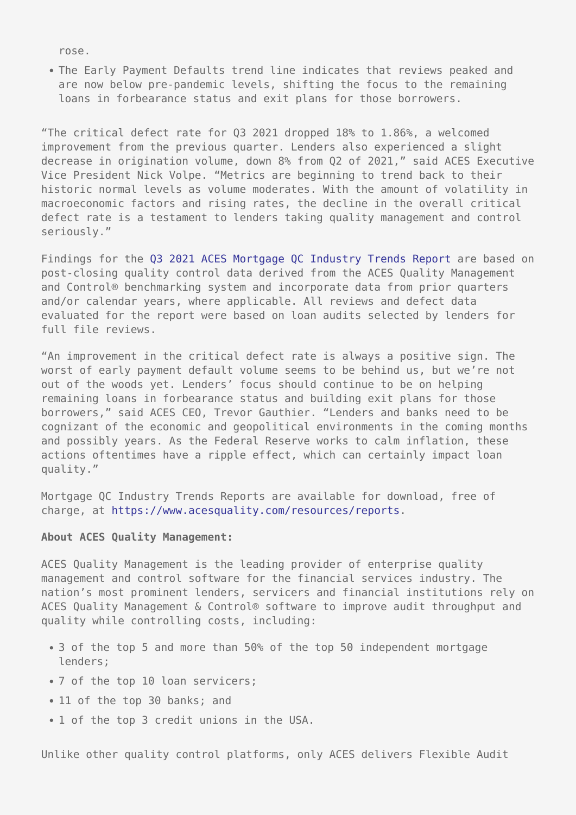rose.

The Early Payment Defaults trend line indicates that reviews peaked and are now below pre-pandemic levels, shifting the focus to the remaining loans in forbearance status and exit plans for those borrowers.

"The critical defect rate for Q3 2021 dropped 18% to 1.86%, a welcomed improvement from the previous quarter. Lenders also experienced a slight decrease in origination volume, down 8% from Q2 of 2021," said ACES Executive Vice President Nick Volpe. "Metrics are beginning to trend back to their historic normal levels as volume moderates. With the amount of volatility in macroeconomic factors and rising rates, the decline in the overall critical defect rate is a testament to lenders taking quality management and control seriously."

Findings for the [Q3 2021 ACES Mortgage QC Industry Trends Report](https://www.acesquality.com/resources/reports/q3-2021-aces-mortgage-qc-industry-trends) are based on post-closing quality control data derived from the ACES Quality Management and Control® benchmarking system and incorporate data from prior quarters and/or calendar years, where applicable. All reviews and defect data evaluated for the report were based on loan audits selected by lenders for full file reviews.

"An improvement in the critical defect rate is always a positive sign. The worst of early payment default volume seems to be behind us, but we're not out of the woods yet. Lenders' focus should continue to be on helping remaining loans in forbearance status and building exit plans for those borrowers," said ACES CEO, Trevor Gauthier. "Lenders and banks need to be cognizant of the economic and geopolitical environments in the coming months and possibly years. As the Federal Reserve works to calm inflation, these actions oftentimes have a ripple effect, which can certainly impact loan quality."

Mortgage QC Industry Trends Reports are available for download, free of charge, at<https://www.acesquality.com/resources/reports>.

## **About ACES Quality Management:**

ACES Quality Management is the leading provider of enterprise quality management and control software for the financial services industry. The nation's most prominent lenders, servicers and financial institutions rely on ACES Quality Management & Control® software to improve audit throughput and quality while controlling costs, including:

- 3 of the top 5 and more than 50% of the top 50 independent mortgage lenders;
- 7 of the top 10 loan servicers;
- 11 of the top 30 banks; and
- 1 of the top 3 credit unions in the USA.

Unlike other quality control platforms, only ACES delivers Flexible Audit